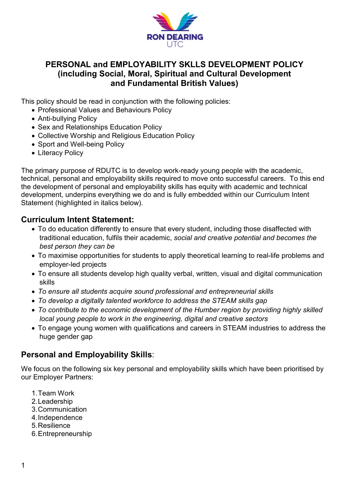

## **PERSONAL and EMPLOYABILITY SKLLS DEVELOPMENT POLICY (including Social, Moral, Spiritual and Cultural Development and Fundamental British Values)**

This policy should be read in conjunction with the following policies:

- Professional Values and Behaviours Policy
- Anti-bullying Policy
- Sex and Relationships Education Policy
- Collective Worship and Religious Education Policy
- Sport and Well-being Policy
- Literacy Policy

The primary purpose of RDUTC is to develop work-ready young people with the academic, technical, personal and employability skills required to move onto successful careers. To this end the development of personal and employability skills has equity with academic and technical development, underpins everything we do and is fully embedded within our Curriculum Intent Statement (highlighted in italics below).

## **Curriculum Intent Statement:**

- To do education differently to ensure that every student, including those disaffected with traditional education, fulfils their academic, *social and creative potential and becomes the best person they can be*
- To maximise opportunities for students to apply theoretical learning to real-life problems and employer-led projects
- To ensure all students develop high quality verbal, written, visual and digital communication skills
- *To ensure all students acquire sound professional and entrepreneurial skills*
- *To develop a digitally talented workforce to address the STEAM skills gap*
- *To contribute to the economic development of the Humber region by providing highly skilled local young people to work in the engineering, digital and creative sectors*
- To engage young women with qualifications and careers in STEAM industries to address the huge gender gap

## **Personal and Employability Skills**:

We focus on the following six key personal and employability skills which have been prioritised by our Employer Partners:

- 1.Team Work
- 2.Leadership
- 3.Communication
- 4.Independence
- 5.Resilience
- 6.Entrepreneurship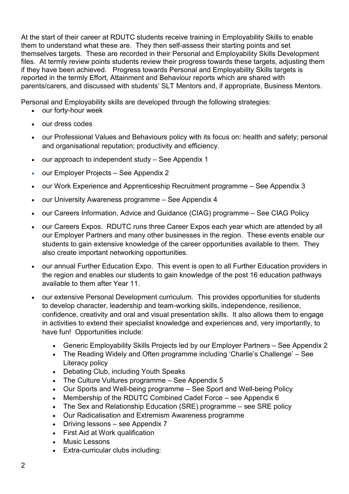At the start of their career at RDUTC students receive training in Employability Skills to enable them to understand what these are. They then self-assess their starting points and set themselves targets. These are recorded in their Personal and Employability Skills Development files. At termly review points students review their progress towards these targets, adjusting them if they have been achieved. Progress towards Personal and Employability Skills targets is reported in the termly Effort, Attainment and Behaviour reports which are shared with parents/carers, and discussed with students' SLT Mentors and, if appropriate, Business Mentors.

Personal and Employability skills are developed through the following strategies:

- our forty-hour week
- our dress codes
- our Professional Values and Behaviours policy with its focus on: health and safety; personal and organisational reputation; productivity and efficiency.
- our approach to independent study See Appendix 1
- our Employer Projects See Appendix 2
- our Work Experience and Apprenticeship Recruitment programme See Appendix 3
- our University Awareness programme See Appendix 4
- our Careers Information, Advice and Guidance (CIAG) programme See CIAG Policy
- our Careers Expos. RDUTC runs three Career Expos each year which are attended by all our Employer Partners and many other businesses in the region. These events enable our students to gain extensive knowledge of the career opportunities available to them. They also create important networking opportunities.
- our annual Further Education Expo. This event is open to all Further Education providers in the region and enables our students to gain knowledge of the post 16 education pathways available to them after Year 11.
- our extensive Personal Development curriculum. This provides opportunities for students to develop character, leadership and team-working skills, independence, resilience, confidence, creativity and oral and visual presentation skills. It also allows them to engage in activities to extend their specialist knowledge and experiences and, very importantly, to have fun! Opportunities include:
	- Generic Employability Skills Projects led by our Employer Partners See Appendix 2
	- The Reading Widely and Often programme including 'Charlie's Challenge' See Literacy policy
	- Debating Club, including Youth Speaks
	- The Culture Vultures programme See Appendix 5
	- Our Sports and Well-being programme See Sport and Well-being Policy
	- Membership of the RDUTC Combined Cadet Force see Appendix 6
	- The Sex and Relationship Education (SRE) programme see SRE policy
	- Our Radicalisation and Extremism Awareness programme
	- Driving lessons see Appendix 7
	- First Aid at Work qualification
	- Music Lessons
	- Extra-curricular clubs including: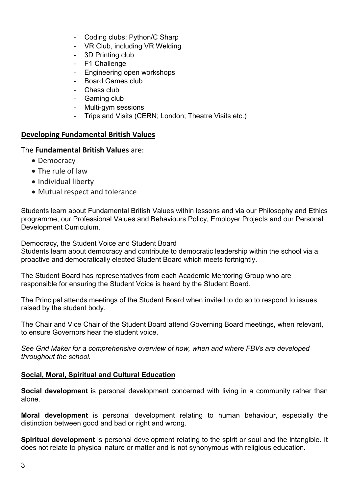- Coding clubs: Python/C Sharp
- VR Club, including VR Welding
- 3D Printing club
- F1 Challenge
- Engineering open workshops
- Board Games club
- Chess club
- Gaming club
- Multi-gym sessions
- Trips and Visits (CERN; London; Theatre Visits etc.)

## **Developing Fundamental British Values**

### The **Fundamental British Values** are:

- Democracy
- The rule of law
- Individual liberty
- Mutual respect and tolerance

Students learn about Fundamental British Values within lessons and via our Philosophy and Ethics programme, our Professional Values and Behaviours Policy, Employer Projects and our Personal Development Curriculum.

### Democracy, the Student Voice and Student Board

Students learn about democracy and contribute to democratic leadership within the school via a proactive and democratically elected Student Board which meets fortnightly.

The Student Board has representatives from each Academic Mentoring Group who are responsible for ensuring the Student Voice is heard by the Student Board.

The Principal attends meetings of the Student Board when invited to do so to respond to issues raised by the student body.

The Chair and Vice Chair of the Student Board attend Governing Board meetings, when relevant, to ensure Governors hear the student voice.

*See Grid Maker for a comprehensive overview of how, when and where FBVs are developed throughout the school.*

## **Social, Moral, Spiritual and Cultural Education**

**Social development** is personal development concerned with living in a community rather than alone.

**Moral development** is personal development relating to human behaviour, especially the distinction between good and bad or right and wrong.

**Spiritual development** is personal development relating to the spirit or soul and the intangible. It does not relate to physical nature or matter and is not synonymous with religious education.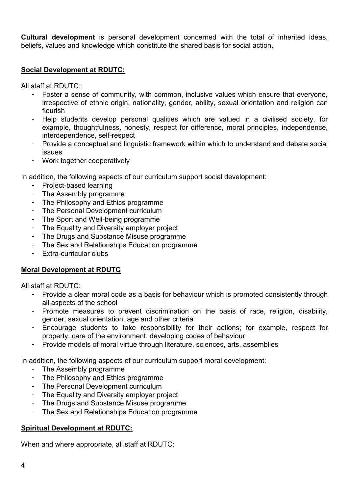**Cultural development** is personal development concerned with the total of inherited ideas, beliefs, values and knowledge which constitute the shared basis for social action.

### **Social Development at RDUTC:**

All staff at RDUTC:

- Foster a sense of community, with common, inclusive values which ensure that everyone, irrespective of ethnic origin, nationality, gender, ability, sexual orientation and religion can flourish
- Help students develop personal qualities which are valued in a civilised society, for example, thoughtfulness, honesty, respect for difference, moral principles, independence, interdependence, self-respect
- Provide a conceptual and linguistic framework within which to understand and debate social issues
- Work together cooperatively

In addition, the following aspects of our curriculum support social development:

- Project-based learning
- The Assembly programme
- The Philosophy and Ethics programme
- The Personal Development curriculum
- The Sport and Well-being programme
- The Equality and Diversity employer project
- The Drugs and Substance Misuse programme
- The Sex and Relationships Education programme
- Extra-curricular clubs

## **Moral Development at RDUTC**

All staff at RDUTC:

- Provide a clear moral code as a basis for behaviour which is promoted consistently through all aspects of the school
- Promote measures to prevent discrimination on the basis of race, religion, disability, gender, sexual orientation, age and other criteria
- Encourage students to take responsibility for their actions; for example, respect for property, care of the environment, developing codes of behaviour
- Provide models of moral virtue through literature, sciences, arts, assemblies

In addition, the following aspects of our curriculum support moral development:

- The Assembly programme
- The Philosophy and Ethics programme
- The Personal Development curriculum
- The Equality and Diversity employer project
- The Drugs and Substance Misuse programme
- The Sex and Relationships Education programme

### **Spiritual Development at RDUTC:**

When and where appropriate, all staff at RDUTC: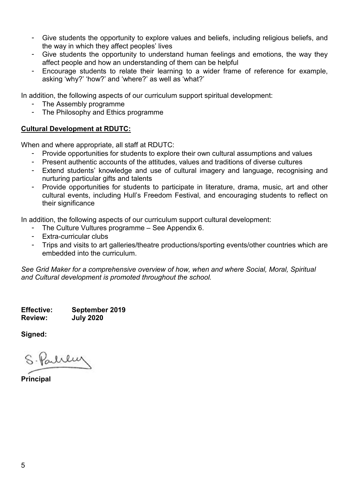- Give students the opportunity to explore values and beliefs, including religious beliefs, and the way in which they affect peoples' lives
- Give students the opportunity to understand human feelings and emotions, the way they affect people and how an understanding of them can be helpful
- Encourage students to relate their learning to a wider frame of reference for example, asking 'why?' 'how?' and 'where?' as well as 'what?'

In addition, the following aspects of our curriculum support spiritual development:

- The Assembly programme
- The Philosophy and Ethics programme

#### **Cultural Development at RDUTC:**

When and where appropriate, all staff at RDUTC:

- Provide opportunities for students to explore their own cultural assumptions and values
- Present authentic accounts of the attitudes, values and traditions of diverse cultures
- Extend students' knowledge and use of cultural imagery and language, recognising and nurturing particular gifts and talents
- Provide opportunities for students to participate in literature, drama, music, art and other cultural events, including Hull's Freedom Festival, and encouraging students to reflect on their significance

In addition, the following aspects of our curriculum support cultural development:

- The Culture Vultures programme See Appendix 6.
- Extra-curricular clubs
- Trips and visits to art galleries/theatre productions/sporting events/other countries which are embedded into the curriculum.

*See Grid Maker for a comprehensive overview of how, when and where Social, Moral, Spiritual and Cultural development is promoted throughout the school.*

**Effective: September 2019 Review: July 2020**

**Signed:** 

Parlinen

**Principal**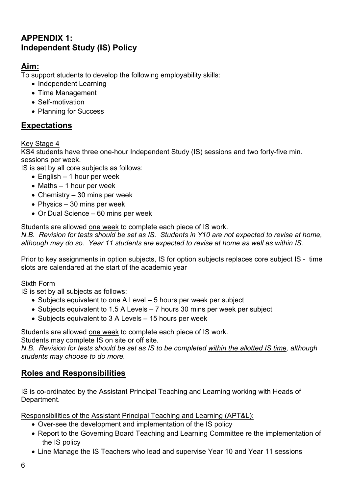# **APPENDIX 1: Independent Study (IS) Policy**

## **Aim:**

To support students to develop the following employability skills:

- Independent Learning
- Time Management
- Self-motivation
- Planning for Success

## **Expectations**

### Key Stage 4

KS4 students have three one-hour Independent Study (IS) sessions and two forty-five min. sessions per week.

IS is set by all core subjects as follows:

- $\bullet$  English 1 hour per week
- Maths 1 hour per week
- Chemistry 30 mins per week
- Physics  $-30$  mins per week
- Or Dual Science 60 mins per week

Students are allowed one week to complete each piece of IS work.

*N.B. Revision for tests should be set as IS. Students in Y10 are not expected to revise at home, although may do so. Year 11 students are expected to revise at home as well as within IS.*

Prior to key assignments in option subjects, IS for option subjects replaces core subject IS - time slots are calendared at the start of the academic year

### Sixth Form

IS is set by all subjects as follows:

- Subjects equivalent to one A Level 5 hours per week per subject
- Subjects equivalent to 1.5 A Levels 7 hours 30 mins per week per subject
- Subjects equivalent to 3 A Levels 15 hours per week

Students are allowed one week to complete each piece of IS work.

Students may complete IS on site or off site.

*N.B. Revision for tests should be set as IS to be completed within the allotted IS time, although students may choose to do more.*

## **Roles and Responsibilities**

IS is co-ordinated by the Assistant Principal Teaching and Learning working with Heads of Department.

Responsibilities of the Assistant Principal Teaching and Learning (APT&L):

- Over-see the development and implementation of the IS policy
- Report to the Governing Board Teaching and Learning Committee re the implementation of the IS policy
- Line Manage the IS Teachers who lead and supervise Year 10 and Year 11 sessions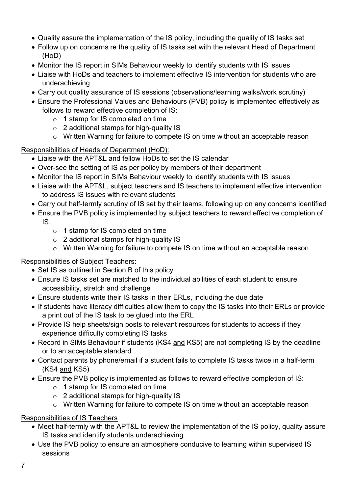- Quality assure the implementation of the IS policy, including the quality of IS tasks set
- Follow up on concerns re the quality of IS tasks set with the relevant Head of Department (HoD)
- Monitor the IS report in SIMs Behaviour weekly to identify students with IS issues
- Liaise with HoDs and teachers to implement effective IS intervention for students who are underachieving
- Carry out quality assurance of IS sessions (observations/learning walks/work scrutiny)
- Ensure the Professional Values and Behaviours (PVB) policy is implemented effectively as follows to reward effective completion of IS:
	- o 1 stamp for IS completed on time
	- o 2 additional stamps for high-quality IS
	- o Written Warning for failure to compete IS on time without an acceptable reason

### Responsibilities of Heads of Department (HoD):

- Liaise with the APT&L and fellow HoDs to set the IS calendar
- Over-see the setting of IS as per policy by members of their department
- Monitor the IS report in SIMs Behaviour weekly to identify students with IS issues
- Liaise with the APT&L, subject teachers and IS teachers to implement effective intervention to address IS issues with relevant students
- Carry out half-termly scrutiny of IS set by their teams, following up on any concerns identified
- Ensure the PVB policy is implemented by subject teachers to reward effective completion of IS:
	- o 1 stamp for IS completed on time
	- o 2 additional stamps for high-quality IS
	- o Written Warning for failure to compete IS on time without an acceptable reason

### Responsibilities of Subject Teachers:

- Set IS as outlined in Section B of this policy
- Ensure IS tasks set are matched to the individual abilities of each student to ensure accessibility, stretch and challenge
- Ensure students write their IS tasks in their ERLs, including the due date
- If students have literacy difficulties allow them to copy the IS tasks into their ERLs or provide a print out of the IS task to be glued into the ERL
- Provide IS help sheets/sign posts to relevant resources for students to access if they experience difficulty completing IS tasks
- Record in SIMs Behaviour if students (KS4 and KS5) are not completing IS by the deadline or to an acceptable standard
- Contact parents by phone/email if a student fails to complete IS tasks twice in a half-term (KS4 and KS5)
- Ensure the PVB policy is implemented as follows to reward effective completion of IS:
	- o 1 stamp for IS completed on time
	- o 2 additional stamps for high-quality IS
	- o Written Warning for failure to compete IS on time without an acceptable reason

### Responsibilities of IS Teachers

- Meet half-termly with the APT&L to review the implementation of the IS policy, quality assure IS tasks and identify students underachieving
- Use the PVB policy to ensure an atmosphere conducive to learning within supervised IS sessions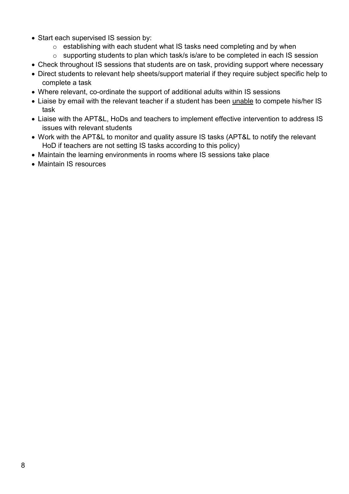- Start each supervised IS session by:
	- o establishing with each student what IS tasks need completing and by when
	- o supporting students to plan which task/s is/are to be completed in each IS session
- Check throughout IS sessions that students are on task, providing support where necessary
- Direct students to relevant help sheets/support material if they require subject specific help to complete a task
- Where relevant, co-ordinate the support of additional adults within IS sessions
- Liaise by email with the relevant teacher if a student has been unable to compete his/her IS task
- Liaise with the APT&L, HoDs and teachers to implement effective intervention to address IS issues with relevant students
- Work with the APT&L to monitor and quality assure IS tasks (APT&L to notify the relevant HoD if teachers are not setting IS tasks according to this policy)
- Maintain the learning environments in rooms where IS sessions take place
- Maintain IS resources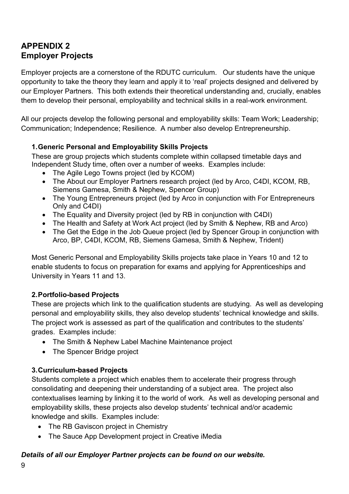# **APPENDIX 2 Employer Projects**

Employer projects are a cornerstone of the RDUTC curriculum. Our students have the unique opportunity to take the theory they learn and apply it to 'real' projects designed and delivered by our Employer Partners. This both extends their theoretical understanding and, crucially, enables them to develop their personal, employability and technical skills in a real-work environment.

All our projects develop the following personal and employability skills: Team Work; Leadership; Communication; Independence; Resilience. A number also develop Entrepreneurship.

## **1.Generic Personal and Employability Skills Projects**

These are group projects which students complete within collapsed timetable days and Independent Study time, often over a number of weeks. Examples include:

- The Agile Lego Towns project (led by KCOM)
- The About our Employer Partners research project (led by Arco, C4DI, KCOM, RB, Siemens Gamesa, Smith & Nephew, Spencer Group)
- The Young Entrepreneurs project (led by Arco in conjunction with For Entrepreneurs Only and C4DI)
- The Equality and Diversity project (led by RB in conjunction with C4DI)
- The Health and Safety at Work Act project (led by Smith & Nephew, RB and Arco)
- The Get the Edge in the Job Queue project (led by Spencer Group in conjunction with Arco, BP, C4DI, KCOM, RB, Siemens Gamesa, Smith & Nephew, Trident)

Most Generic Personal and Employability Skills projects take place in Years 10 and 12 to enable students to focus on preparation for exams and applying for Apprenticeships and University in Years 11 and 13.

## **2.Portfolio-based Projects**

These are projects which link to the qualification students are studying. As well as developing personal and employability skills, they also develop students' technical knowledge and skills. The project work is assessed as part of the qualification and contributes to the students' grades. Examples include:

- The Smith & Nephew Label Machine Maintenance project
- The Spencer Bridge project

## **3.Curriculum-based Projects**

Students complete a project which enables them to accelerate their progress through consolidating and deepening their understanding of a subject area. The project also contextualises learning by linking it to the world of work. As well as developing personal and employability skills, these projects also develop students' technical and/or academic knowledge and skills. Examples include:

- The RB Gaviscon project in Chemistry
- The Sauce App Development project in Creative iMedia

## *Details of all our Employer Partner projects can be found on our website.*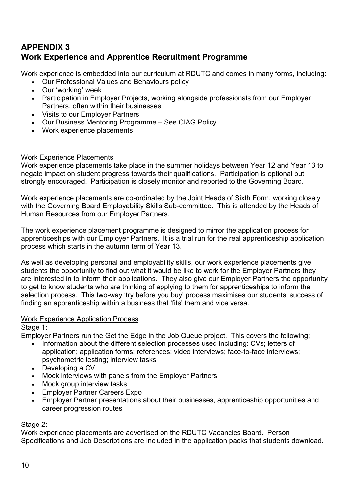# **APPENDIX 3 Work Experience and Apprentice Recruitment Programme**

Work experience is embedded into our curriculum at RDUTC and comes in many forms, including:

- Our Professional Values and Behaviours policy
- Our 'working' week
- Participation in Employer Projects, working alongside professionals from our Employer Partners, often within their businesses
- Visits to our Employer Partners
- Our Business Mentoring Programme See CIAG Policy
- Work experience placements

### Work Experience Placements

Work experience placements take place in the summer holidays between Year 12 and Year 13 to negate impact on student progress towards their qualifications. Participation is optional but strongly encouraged. Participation is closely monitor and reported to the Governing Board.

Work experience placements are co-ordinated by the Joint Heads of Sixth Form, working closely with the Governing Board Employability Skills Sub-committee. This is attended by the Heads of Human Resources from our Employer Partners.

The work experience placement programme is designed to mirror the application process for apprenticeships with our Employer Partners. It is a trial run for the real apprenticeship application process which starts in the autumn term of Year 13.

As well as developing personal and employability skills, our work experience placements give students the opportunity to find out what it would be like to work for the Employer Partners they are interested in to inform their applications. They also give our Employer Partners the opportunity to get to know students who are thinking of applying to them for apprenticeships to inform the selection process. This two-way 'try before you buy' process maximises our students' success of finding an apprenticeship within a business that 'fits' them and vice versa.

### Work Experience Application Process

Stage 1:

Employer Partners run the Get the Edge in the Job Queue project. This covers the following;

- Information about the different selection processes used including: CVs; letters of application; application forms; references; video interviews; face-to-face interviews; psychometric testing; interview tasks
- Developing a CV
- Mock interviews with panels from the Employer Partners
- Mock group interview tasks
- Employer Partner Careers Expo
- Employer Partner presentations about their businesses, apprenticeship opportunities and career progression routes

### Stage 2:

Work experience placements are advertised on the RDUTC Vacancies Board. Person Specifications and Job Descriptions are included in the application packs that students download.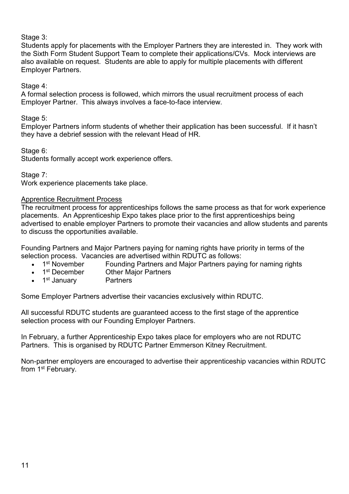### Stage 3:

Students apply for placements with the Employer Partners they are interested in. They work with the Sixth Form Student Support Team to complete their applications/CVs. Mock interviews are also available on request. Students are able to apply for multiple placements with different Employer Partners.

### Stage 4:

A formal selection process is followed, which mirrors the usual recruitment process of each Employer Partner. This always involves a face-to-face interview.

Stage 5:

Employer Partners inform students of whether their application has been successful. If it hasn't they have a debrief session with the relevant Head of HR.

Stage 6:

Students formally accept work experience offers.

Stage 7:

Work experience placements take place.

### Apprentice Recruitment Process

The recruitment process for apprenticeships follows the same process as that for work experience placements. An Apprenticeship Expo takes place prior to the first apprenticeships being advertised to enable employer Partners to promote their vacancies and allow students and parents to discuss the opportunities available.

Founding Partners and Major Partners paying for naming rights have priority in terms of the selection process. Vacancies are advertised within RDUTC as follows:

- 1<sup>st</sup> November Founding Partners and Major Partners paying for naming rights<br>• 1<sup>st</sup> December Other Maior Partners
- **Other Major Partners**
- 1<sup>st</sup> January Partners

Some Employer Partners advertise their vacancies exclusively within RDUTC.

All successful RDUTC students are guaranteed access to the first stage of the apprentice selection process with our Founding Employer Partners.

In February, a further Apprenticeship Expo takes place for employers who are not RDUTC Partners. This is organised by RDUTC Partner Emmerson Kitney Recruitment.

Non-partner employers are encouraged to advertise their apprenticeship vacancies within RDUTC from 1<sup>st</sup> February.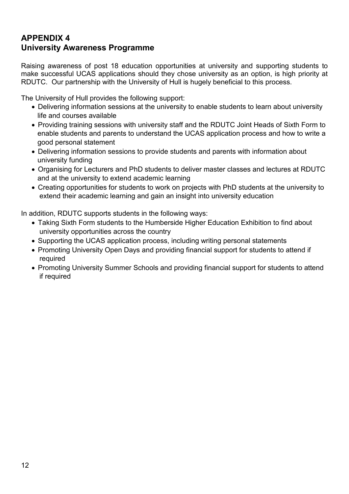# **APPENDIX 4 University Awareness Programme**

Raising awareness of post 18 education opportunities at university and supporting students to make successful UCAS applications should they chose university as an option, is high priority at RDUTC. Our partnership with the University of Hull is hugely beneficial to this process.

The University of Hull provides the following support:

- Delivering information sessions at the university to enable students to learn about university life and courses available
- Providing training sessions with university staff and the RDUTC Joint Heads of Sixth Form to enable students and parents to understand the UCAS application process and how to write a good personal statement
- Delivering information sessions to provide students and parents with information about university funding
- Organising for Lecturers and PhD students to deliver master classes and lectures at RDUTC and at the university to extend academic learning
- Creating opportunities for students to work on projects with PhD students at the university to extend their academic learning and gain an insight into university education

In addition, RDUTC supports students in the following ways:

- Taking Sixth Form students to the Humberside Higher Education Exhibition to find about university opportunities across the country
- Supporting the UCAS application process, including writing personal statements
- Promoting University Open Days and providing financial support for students to attend if required
- Promoting University Summer Schools and providing financial support for students to attend if required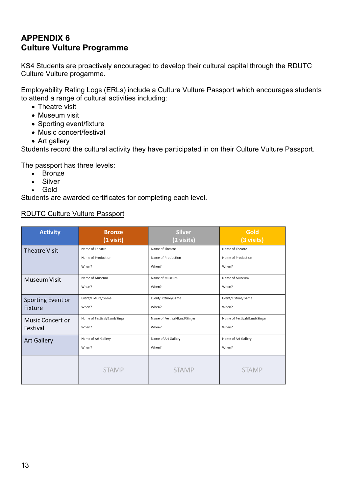# **APPENDIX 6 Culture Vulture Programme**

KS4 Students are proactively encouraged to develop their cultural capital through the RDUTC Culture Vulture progamme.

Employability Rating Logs (ERLs) include a Culture Vulture Passport which encourages students to attend a range of cultural activities including:

- Theatre visit
- Museum visit
- Sporting event/fixture
- Music concert/festival
- Art gallery

Students record the cultural activity they have participated in on their Culture Vulture Passport.

The passport has three levels:

- Bronze
- Silver
- Gold

Students are awarded certificates for completing each level.

#### RDUTC Culture Vulture Passport

| <b>Activity</b>         | <b>Bronze</b><br>$(1 \text{ visit})$ | <b>Silver</b><br>(2 visits)  | Gold<br>(3 visits)           |
|-------------------------|--------------------------------------|------------------------------|------------------------------|
| <b>Theatre Visit</b>    | Name of Theatre                      | Name of Theatre              | Name of Theatre              |
|                         | Name of Production                   | Name of Production           | Name of Production           |
|                         | When?                                | When?                        | When?                        |
| <b>Museum Visit</b>     | Name of Museum                       | Name of Museum               | Name of Museum               |
|                         | When?                                | When?                        | When?                        |
| Sporting Event or       | Event/Fixture/Game                   | Event/Fixture/Game           | Event/Fixture/Game           |
| <b>Fixture</b>          | When?                                | When?                        | When?                        |
| <b>Music Concert or</b> | Name of Festival/Band/Singer         | Name of Festival/Band/Singer | Name of Festival/Band/Singer |
| Festival                | When?                                | When?                        | When?                        |
| <b>Art Gallery</b>      | Name of Art Gallery                  | Name of Art Gallery          | Name of Art Gallery          |
|                         | When?                                | When?                        | When?                        |
|                         | <b>STAMP</b>                         | <b>STAMP</b>                 | <b>STAMP</b>                 |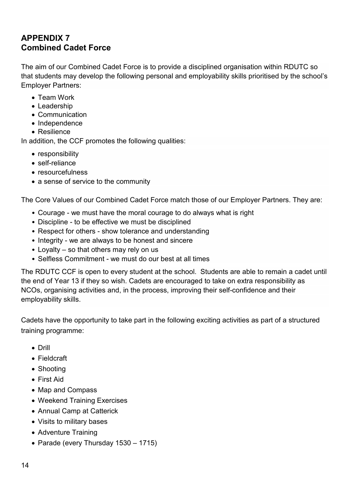# **APPENDIX 7 Combined Cadet Force**

The aim of our Combined Cadet Force is to provide a disciplined organisation within RDUTC so that students may develop the following personal and employability skills prioritised by the school's Employer Partners:

- Team Work
- Leadership
- Communication
- Independence
- Resilience

In addition, the CCF promotes the following qualities:

- responsibility
- self-reliance
- resourcefulness
- a sense of service to the community

The Core Values of our Combined Cadet Force match those of our Employer Partners. They are:

- Courage we must have the moral courage to do always what is right
- Discipline to be effective we must be disciplined
- Respect for others show tolerance and understanding
- Integrity we are always to be honest and sincere
- Loyalty so that others may rely on us
- Selfless Commitment we must do our best at all times

The RDUTC CCF is open to every student at the school. Students are able to remain a cadet until the end of Year 13 if they so wish. Cadets are encouraged to take on extra responsibility as NCOs, organising activities and, in the process, improving their self-confidence and their employability skills.

Cadets have the opportunity to take part in the following exciting activities as part of a structured training programme:

- Drill
- Fieldcraft
- Shooting
- First Aid
- Map and Compass
- Weekend Training Exercises
- Annual Camp at Catterick
- Visits to military bases
- Adventure Training
- Parade (every Thursday 1530 1715)